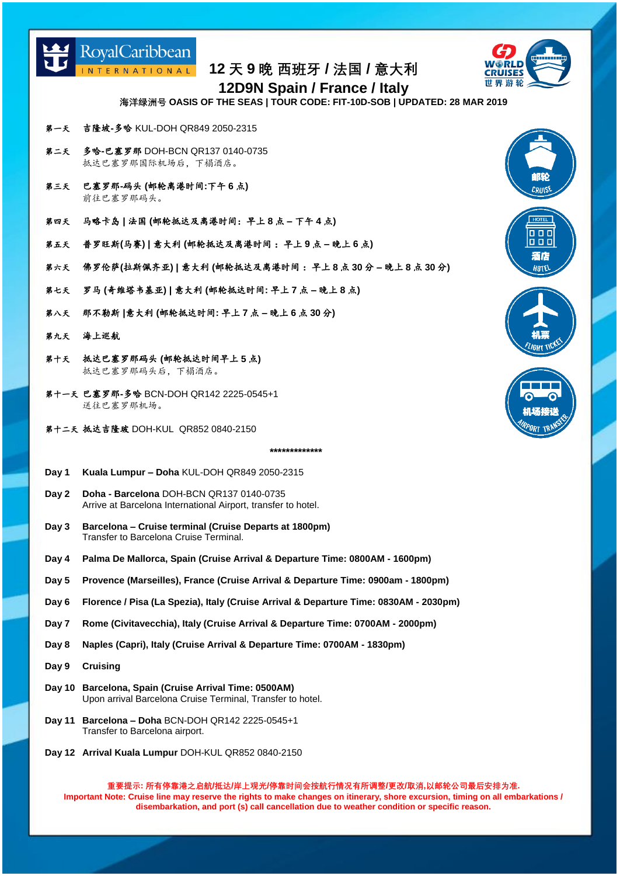

世界游轮

**12 天 9 晚 西班牙 / 法国 / 意大利**

**12D9N Spain / France / Italy**

**海洋绿洲号 OASIS OF THE SEAS | TOUR CODE: FIT-10D-SOB | UPDATED: 28 MAR 2019**

- 第一天 吉隆坡**-**多哈 KUL-DOH QR849 2050-2315
- 第二天 多哈**-**巴塞罗那 DOH-BCN QR137 0140-0735 抵达巴塞罗那国际机场后,下榻酒店。
- 第三天 巴塞罗那**-**码头 **(**邮轮离港时间**:**下午 **6** 点**)** 前往巴塞罗那码头。
- 第四天 马略卡岛 **|** 法国 **(**邮轮抵达及离港时间:早上 **8** 点 **–** 下午 **4** 点**)**
- 第五天 普罗旺斯**(**马赛**) |** 意大利 **(**邮轮抵达及离港时间 :早上 **9** 点 **–** 晚上 **6** 点**)**
- 第六天 佛罗伦萨**(**拉斯佩齐亚**) |** 意大利 **(**邮轮抵达及离港时间 :早上 **8** 点 **30** 分 **–** 晚上 **8** 点 **30** 分**)**
- 第七天 罗马 **(**奇维塔韦基亚**) |** 意大利 **(**邮轮抵达时间**:** 早上 **7** 点 **–** 晚上 **8** 点**)**
- 第八天 那不勒斯 **|**意大利 **(**邮轮抵达时间**:** 早上 **7** 点 **–** 晚上 **6** 点 **30** 分**)**
- 第九天 海上巡航
- 第十天 抵达巴塞罗那码头 **(**邮轮抵达时间早上 **5** 点**)** 抵达巴塞罗那码头后,下榻酒店。
- 第十一天 巴塞罗那**-**多哈 BCN-DOH QR142 2225-0545+1 送往巴塞罗那机场。
- 第十二天 抵达吉隆玻 DOH-KUL QR852 0840-2150

## **\*\*\*\*\*\*\*\*\*\*\*\*\***

- **Day 1 Kuala Lumpur – Doha** KUL-DOH QR849 2050-2315
- **Day 2 Doha - Barcelona** DOH-BCN QR137 0140-0735 Arrive at Barcelona International Airport, transfer to hotel.
- **Day 3 Barcelona – Cruise terminal (Cruise Departs at 1800pm)** Transfer to Barcelona Cruise Terminal.
- **Day 4 Palma De Mallorca, Spain (Cruise Arrival & Departure Time: 0800AM - 1600pm)**
- **Day 5 Provence (Marseilles), France (Cruise Arrival & Departure Time: 0900am - 1800pm)**
- **Day 6 Florence / Pisa (La Spezia), Italy (Cruise Arrival & Departure Time: 0830AM - 2030pm)**
- **Day 7 Rome (Civitavecchia), Italy (Cruise Arrival & Departure Time: 0700AM - 2000pm)**
- **Day 8 Naples (Capri), Italy (Cruise Arrival & Departure Time: 0700AM - 1830pm)**
- **Day 9 Cruising**
- **Day 10 Barcelona, Spain (Cruise Arrival Time: 0500AM)** Upon arrival Barcelona Cruise Terminal, Transfer to hotel.
- **Day 11 Barcelona – Doha** BCN-DOH QR142 2225-0545+1 Transfer to Barcelona airport.
- **Day 12 Arrival Kuala Lumpur** DOH-KUL QR852 0840-2150

**重要提示: 所有停靠港之启航/抵达/岸上观光/停靠时间会按航行情况有所调整/更改/取消,以邮轮公司最后安排为准. Important Note: Cruise line may reserve the rights to make changes on itinerary, shore excursion, timing on all embarkations / disembarkation, and port (s) call cancellation due to weather condition or specific reason.**



酒店 HOTEL